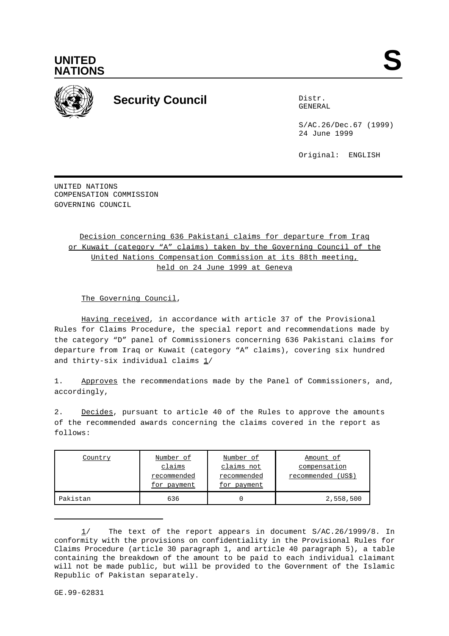



## **Security Council** Distribution of the Distribution of the Distribution of the Distribution of the Distribution of the Distribution of the Distribution of the Distribution of the Distribution of the Distribution of the Dis

GENERAL

S/AC.26/Dec.67 (1999) 24 June 1999

Original: ENGLISH

UNITED NATIONS COMPENSATION COMMISSION GOVERNING COUNCIL

> Decision concerning 636 Pakistani claims for departure from Iraq or Kuwait (category "A" claims) taken by the Governing Council of the United Nations Compensation Commission at its 88th meeting, held on 24 June 1999 at Geneva

The Governing Council,

Having received, in accordance with article 37 of the Provisional Rules for Claims Procedure, the special report and recommendations made by the category "D" panel of Commissioners concerning 636 Pakistani claims for departure from Iraq or Kuwait (category "A" claims), covering six hundred and thirty-six individual claims 1/

1. Approves the recommendations made by the Panel of Commissioners, and, accordingly,

2. Decides, pursuant to article 40 of the Rules to approve the amounts of the recommended awards concerning the claims covered in the report as follows:

| Country  | Number of   | Number of   | Amount of            |
|----------|-------------|-------------|----------------------|
|          | claims      | claims not  | compensation         |
|          | recommended | recommended | (USS)<br>recommended |
|          | for payment | for payment |                      |
| Pakistan | 636         |             | 2,558,500            |

<sup>1/</sup> The text of the report appears in document S/AC.26/1999/8. In conformity with the provisions on confidentiality in the Provisional Rules for Claims Procedure (article 30 paragraph 1, and article 40 paragraph 5), a table containing the breakdown of the amount to be paid to each individual claimant will not be made public, but will be provided to the Government of the Islamic Republic of Pakistan separately.